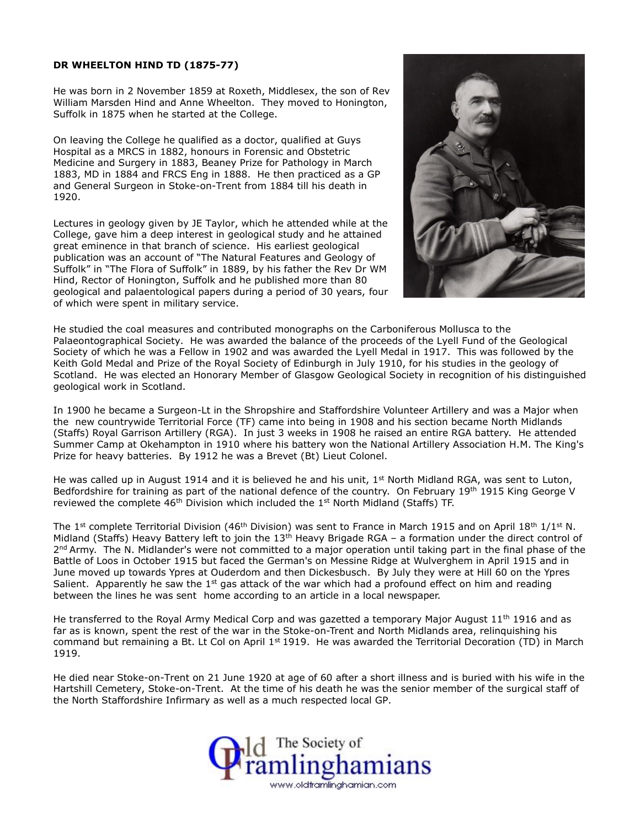## **DR WHEELTON HIND TD (1875-77)**

He was born in 2 November 1859 at Roxeth, Middlesex, the son of Rev William Marsden Hind and Anne Wheelton. They moved to Honington, Suffolk in 1875 when he started at the College.

On leaving the College he qualified as a doctor, qualified at Guys Hospital as a MRCS in 1882, honours in Forensic and Obstetric Medicine and Surgery in 1883, Beaney Prize for Pathology in March 1883, MD in 1884 and FRCS Eng in 1888. He then practiced as a GP and General Surgeon in Stoke-on-Trent from 1884 till his death in 1920.

Lectures in geology given by JE Taylor, which he attended while at the College, gave him a deep interest in geological study and he attained great eminence in that branch of science. His earliest geological publication was an account of "The Natural Features and Geology of Suffolk" in "The Flora of Suffolk" in 1889, by his father the Rev Dr WM Hind, Rector of Honington, Suffolk and he published more than 80 geological and palaentological papers during a period of 30 years, four of which were spent in military service.



He studied the coal measures and contributed monographs on the Carboniferous Mollusca to the Palaeontographical Society. He was awarded the balance of the proceeds of the Lyell Fund of the Geological Society of which he was a Fellow in 1902 and was awarded the Lyell Medal in 1917. This was followed by the Keith Gold Medal and Prize of the Royal Society of Edinburgh in July 1910, for his studies in the geology of Scotland. He was elected an Honorary Member of Glasgow Geological Society in recognition of his distinguished geological work in Scotland.

In 1900 he became a Surgeon-Lt in the Shropshire and Staffordshire Volunteer Artillery and was a Major when the new countrywide Territorial Force (TF) came into being in 1908 and his section became North Midlands (Staffs) Royal Garrison Artillery (RGA). In just 3 weeks in 1908 he raised an entire RGA battery. He attended Summer Camp at Okehampton in 1910 where his battery won the National Artillery Association H.M. The King's Prize for heavy batteries. By 1912 he was a Brevet (Bt) Lieut Colonel.

He was called up in August 1914 and it is believed he and his unit,  $1<sup>st</sup>$  North Midland RGA, was sent to Luton, Bedfordshire for training as part of the national defence of the country. On February 19<sup>th</sup> 1915 King George V reviewed the complete  $46<sup>th</sup>$  Division which included the 1<sup>st</sup> North Midland (Staffs) TF.

The 1<sup>st</sup> complete Territorial Division (46<sup>th</sup> Division) was sent to France in March 1915 and on April 18<sup>th</sup> 1/1<sup>st</sup> N. Midland (Staffs) Heavy Battery left to join the  $13<sup>th</sup>$  Heavy Brigade RGA – a formation under the direct control of 2<sup>nd</sup> Army. The N. Midlander's were not committed to a major operation until taking part in the final phase of the Battle of Loos in October 1915 but faced the German's on Messine Ridge at Wulverghem in April 1915 and in June moved up towards Ypres at Ouderdom and then Dickesbusch. By July they were at Hill 60 on the Ypres Salient. Apparently he saw the  $1<sup>st</sup>$  gas attack of the war which had a profound effect on him and reading between the lines he was sent home according to an article in a local newspaper.

He transferred to the Royal Army Medical Corp and was gazetted a temporary Major August 11<sup>th</sup> 1916 and as far as is known, spent the rest of the war in the Stoke-on-Trent and North Midlands area, relinquishing his command but remaining a Bt. Lt Col on April  $1<sup>st</sup>$  1919. He was awarded the Territorial Decoration (TD) in March 1919.

He died near Stoke-on-Trent on 21 June 1920 at age of 60 after a short illness and is buried with his wife in the Hartshill Cemetery, Stoke-on-Trent. At the time of his death he was the senior member of the surgical staff of the North Staffordshire Infirmary as well as a much respected local GP.